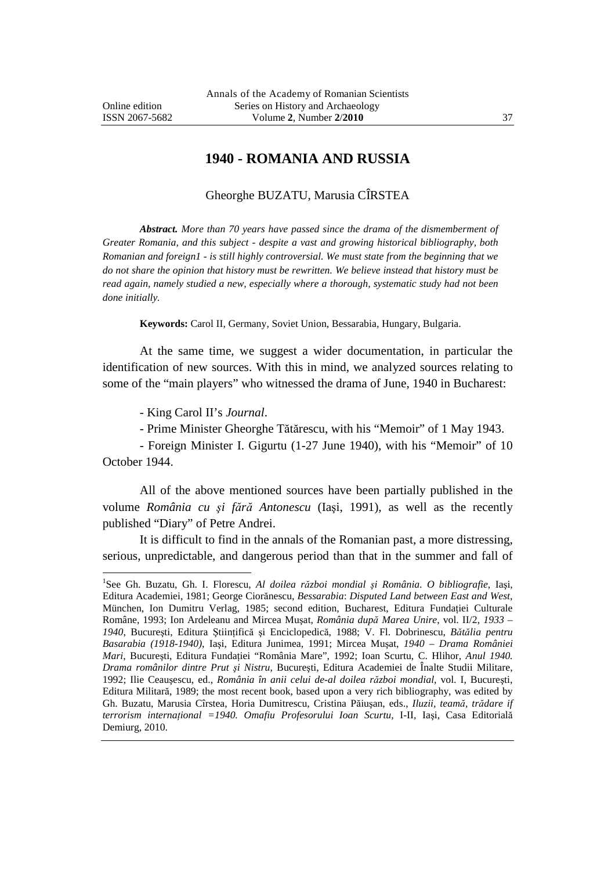$\overline{a}$ 

## **1940 - ROMANIA AND RUSSIA**

## Gheorghe BUZATU, Marusia CÎRSTEA

*Abstract. More than 70 years have passed since the drama of the dismemberment of Greater Romania, and this subject - despite a vast and growing historical bibliography, both Romanian and foreign1 - is still highly controversial. We must state from the beginning that we do not share the opinion that history must be rewritten. We believe instead that history must be read again, namely studied a new, especially where a thorough, systematic study had not been done initially.* 

**Keywords:** Carol II, Germany, Soviet Union, Bessarabia, Hungary, Bulgaria.

At the same time, we suggest a wider documentation, in particular the identification of new sources. With this in mind, we analyzed sources relating to some of the "main players" who witnessed the drama of June, 1940 in Bucharest:

- King Carol II's *Journal*.

- Prime Minister Gheorghe Tătărescu, with his "Memoir" of 1 May 1943.

- Foreign Minister I. Gigurtu (1-27 June 1940), with his "Memoir" of 10 October 1944.

All of the above mentioned sources have been partially published in the volume *România cu şi fără Antonescu* (Iaşi, 1991), as well as the recently published "Diary" of Petre Andrei.

It is difficult to find in the annals of the Romanian past, a more distressing, serious, unpredictable, and dangerous period than that in the summer and fall of

<sup>1</sup> See Gh. Buzatu, Gh. I. Florescu, *Al doilea război mondial şi România*. *O bibliografie*, Iaşi, Editura Academiei, 1981; George Ciorănescu, *Bessarabia*: *Disputed Land between East and West*, München, Ion Dumitru Verlag, 1985; second edition, Bucharest, Editura Fundației Culturale Române, 1993; Ion Ardeleanu and Mircea Muşat, *România după Marea Unire*, vol. II/2, *1933 – 1940*, Bucureşti, Editura Ştiinţifică şi Enciclopedică, 1988; V. Fl. Dobrinescu, *Bătălia pentru Basarabia (1918-1940)*, Iaşi, Editura Junimea, 1991; Mircea Muşat, *1940 – Drama României Mari*, Bucureşti, Editura Fundaţiei "România Mare", 1992; Ioan Scurtu, C. Hlihor, *Anul 1940. Drama românilor dintre Prut şi Nistru*, Bucureşti, Editura Academiei de Înalte Studii Militare, 1992; Ilie Ceauşescu, ed., *România în anii celui de-al doilea război mondial*, vol. I, Bucureşti, Editura Militară, 1989; the most recent book, based upon a very rich bibliography, was edited by Gh. Buzatu, Marusia Cîrstea, Horia Dumitrescu, Cristina Păiuşan, eds., *Iluzii, teamă, trădare if terrorism internaţional =1940. Omafiu Profesorului Ioan Scurtu,* I-II, Iaşi, Casa Editorială Demiurg, 2010.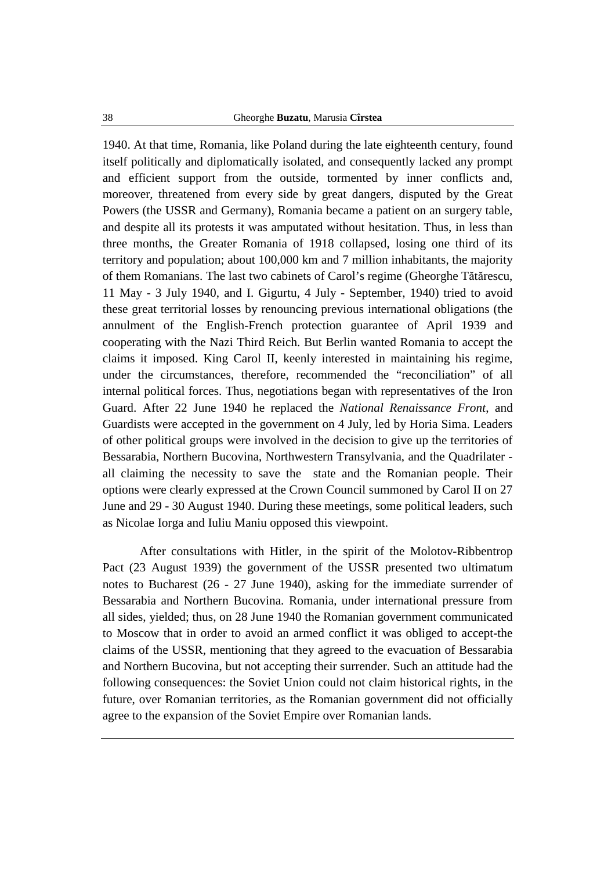1940. At that time, Romania, like Poland during the late eighteenth century, found itself politically and diplomatically isolated, and consequently lacked any prompt and efficient support from the outside, tormented by inner conflicts and, moreover, threatened from every side by great dangers, disputed by the Great Powers (the USSR and Germany), Romania became a patient on an surgery table, and despite all its protests it was amputated without hesitation. Thus, in less than three months, the Greater Romania of 1918 collapsed, losing one third of its territory and population; about 100,000 km and 7 million inhabitants, the majority of them Romanians. The last two cabinets of Carol's regime (Gheorghe Tătărescu, 11 May - 3 July 1940, and I. Gigurtu, 4 July - September, 1940) tried to avoid these great territorial losses by renouncing previous international obligations (the annulment of the English-French protection guarantee of April 1939 and cooperating with the Nazi Third Reich. But Berlin wanted Romania to accept the claims it imposed. King Carol II, keenly interested in maintaining his regime, under the circumstances, therefore, recommended the "reconciliation" of all internal political forces. Thus, negotiations began with representatives of the Iron Guard. After 22 June 1940 he replaced the *National Renaissance Front*, and Guardists were accepted in the government on 4 July, led by Horia Sima. Leaders of other political groups were involved in the decision to give up the territories of Bessarabia, Northern Bucovina, Northwestern Transylvania, and the Quadrilater all claiming the necessity to save the state and the Romanian people. Their options were clearly expressed at the Crown Council summoned by Carol II on 27 June and 29 - 30 August 1940. During these meetings, some political leaders, such as Nicolae Iorga and Iuliu Maniu opposed this viewpoint.

After consultations with Hitler, in the spirit of the Molotov-Ribbentrop Pact (23 August 1939) the government of the USSR presented two ultimatum notes to Bucharest (26 - 27 June 1940), asking for the immediate surrender of Bessarabia and Northern Bucovina. Romania, under international pressure from all sides, yielded; thus, on 28 June 1940 the Romanian government communicated to Moscow that in order to avoid an armed conflict it was obliged to accept-the claims of the USSR, mentioning that they agreed to the evacuation of Bessarabia and Northern Bucovina, but not accepting their surrender. Such an attitude had the following consequences: the Soviet Union could not claim historical rights, in the future, over Romanian territories, as the Romanian government did not officially agree to the expansion of the Soviet Empire over Romanian lands.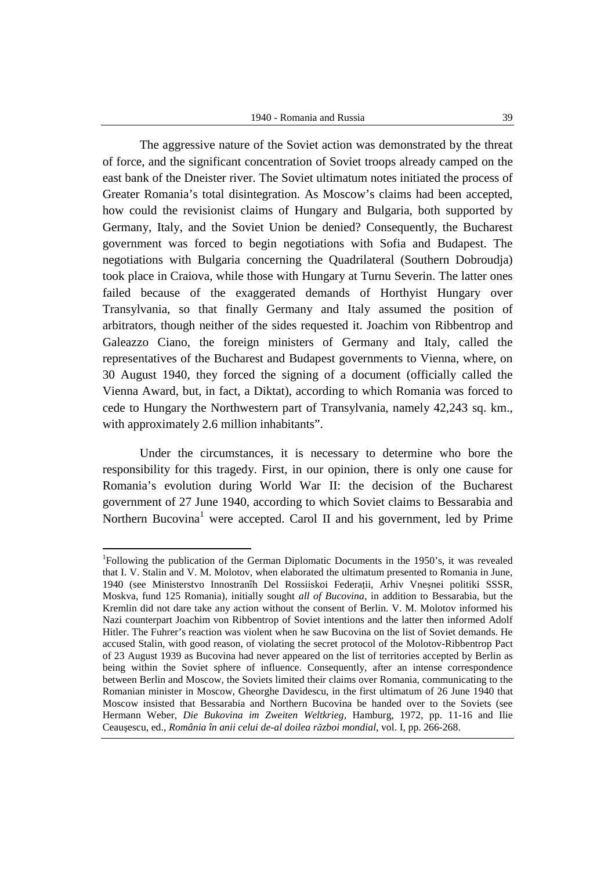The aggressive nature of the Soviet action was demonstrated by the threat of force, and the significant concentration of Soviet troops already camped on the east bank of the Dneister river. The Soviet ultimatum notes initiated the process of Greater Romania's total disintegration. As Moscow's claims had been accepted, how could the revisionist claims of Hungary and Bulgaria, both supported by Germany, Italy, and the Soviet Union be denied? Consequently, the Bucharest government was forced to begin negotiations with Sofia and Budapest. The negotiations with Bulgaria concerning the Quadrilateral (Southern Dobroudja) took place in Craiova, while those with Hungary at Turnu Severin. The latter ones failed because of the exaggerated demands of Horthyist Hungary over Transylvania, so that finally Germany and Italy assumed the position of arbitrators, though neither of the sides requested it. Joachim von Ribbentrop and Galeazzo Ciano, the foreign ministers of Germany and Italy, called the representatives of the Bucharest and Budapest governments to Vienna, where, on 30 August 1940, they forced the signing of a document (officially called the Vienna Award, but, in fact, a Diktat), according to which Romania was forced to cede to Hungary the Northwestern part of Transylvania, namely 42,243 sq. km., with approximately 2.6 million inhabitants".

Under the circumstances, it is necessary to determine who bore the responsibility for this tragedy. First, in our opinion, there is only one cause for Romania's evolution during World War II: the decision of the Bucharest government of 27 June 1940, according to which Soviet claims to Bessarabia and Northern Bucovina<sup>1</sup> were accepted. Carol II and his government, led by Prime

<sup>&</sup>lt;sup>1</sup>Following the publication of the German Diplomatic Documents in the 1950's, it was revealed that I. V. Stalin and V. M. Molotov, when elaborated the ultimatum presented to Romania in June, 1940 (see Ministerstvo Innostranîh Del Rossiiskoi Federaţii, Arhiv Vneşnei politiki SSSR, Moskva, fund 125 Romania), initially sought *all of Bucovina*, in addition to Bessarabia, but the Kremlin did not dare take any action without the consent of Berlin. V. M. Molotov informed his Nazi counterpart Joachim von Ribbentrop of Soviet intentions and the latter then informed Adolf Hitler. The Fuhrer's reaction was violent when he saw Bucovina on the list of Soviet demands. He accused Stalin, with good reason, of violating the secret protocol of the Molotov-Ribbentrop Pact of 23 August 1939 as Bucovina had never appeared on the list of territories accepted by Berlin as being within the Soviet sphere of influence. Consequently, after an intense correspondence between Berlin and Moscow, the Soviets limited their claims over Romania, communicating to the Romanian minister in Moscow, Gheorghe Davidescu, in the first ultimatum of 26 June 1940 that Moscow insisted that Bessarabia and Northern Bucovina be handed over to the Soviets (see Hermann Weber, *Die Bukovina im Zweiten Weltkrieg,* Hamburg, 1972, pp. 11-16 and Ilie Ceauşescu, ed., *România în anii celui de-al doilea război mondial*, vol. I, pp. 266-268.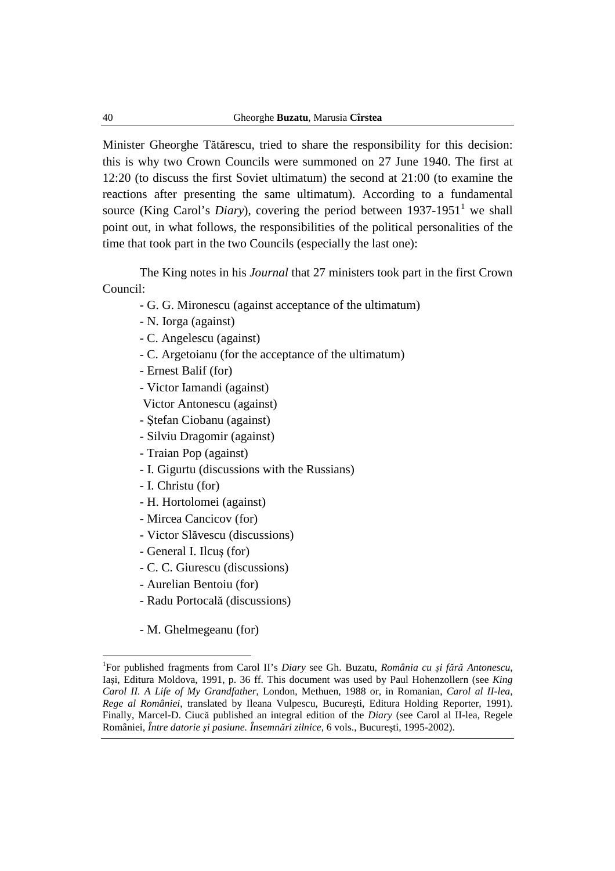Minister Gheorghe Tătărescu, tried to share the responsibility for this decision: this is why two Crown Councils were summoned on 27 June 1940. The first at 12:20 (to discuss the first Soviet ultimatum) the second at 21:00 (to examine the reactions after presenting the same ultimatum). According to a fundamental source (King Carol's *Diary*), covering the period between  $1937-1951<sup>1</sup>$  we shall point out, in what follows, the responsibilities of the political personalities of the time that took part in the two Councils (especially the last one):

The King notes in his *Journal* that 27 ministers took part in the first Crown Council:

- G. G. Mironescu (against acceptance of the ultimatum)
- N. Iorga (against)
- C. Angelescu (against)
- C. Argetoianu (for the acceptance of the ultimatum)
- Ernest Balif (for)
- Victor Iamandi (against)

Victor Antonescu (against)

- Ştefan Ciobanu (against)
- Silviu Dragomir (against)
- Traian Pop (against)
- I. Gigurtu (discussions with the Russians)
- I. Christu (for)
- H. Hortolomei (against)
- Mircea Cancicov (for)
- Victor Slăvescu (discussions)
- General I. Ilcuş (for)
- C. C. Giurescu (discussions)
- Aurelian Bentoiu (for)
- Radu Portocală (discussions)
- M. Ghelmegeanu (for)

<sup>1</sup> For published fragments from Carol II's *Diary* see Gh. Buzatu, *România cu şi fără Antonescu*, Iaşi, Editura Moldova, 1991, p. 36 ff. This document was used by Paul Hohenzollern (see *King Carol II. A Life of My Grandfather*, London, Methuen, 1988 or, in Romanian, *Carol al II-lea, Rege al României*, translated by Ileana Vulpescu, Bucureşti, Editura Holding Reporter, 1991). Finally, Marcel-D. Ciucă published an integral edition of the *Diary* (see Carol al II-lea, Regele României*, Între datorie şi pasiune. Însemnări zilnice*, 6 vols., Bucureşti, 1995-2002).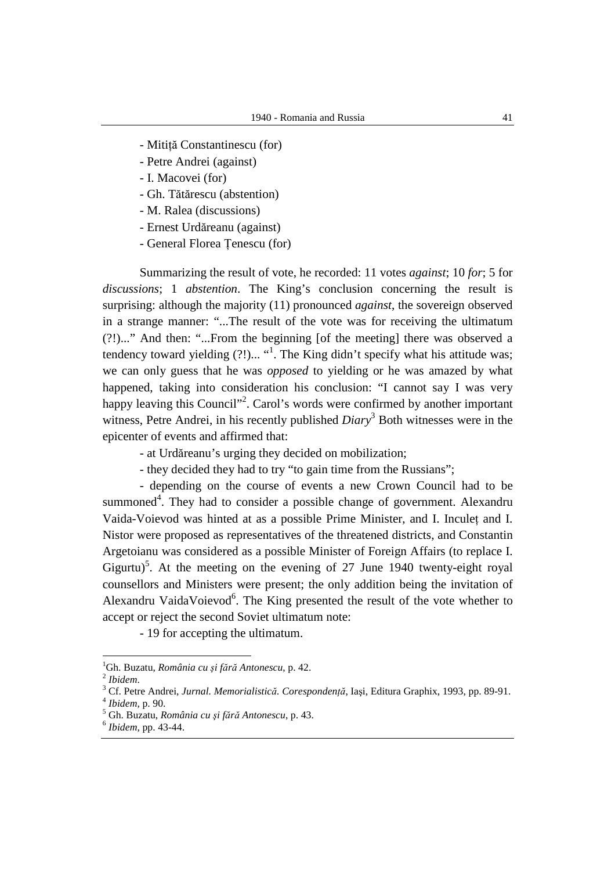- Mitiţă Constantinescu (for)
- Petre Andrei (against)
- I. Macovei (for)
- Gh. Tătărescu (abstention)
- M. Ralea (discussions)
- Ernest Urdăreanu (against)
- General Florea Ţenescu (for)

Summarizing the result of vote, he recorded: 11 votes *against*; 10 *for*; 5 for *discussions*; 1 *abstention*. The King's conclusion concerning the result is surprising: although the majority (11) pronounced *against*, the sovereign observed in a strange manner: "...The result of the vote was for receiving the ultimatum (?!)..." And then: "...From the beginning [of the meeting] there was observed a tendency toward yielding (?!)... "<sup>1</sup>. The King didn't specify what his attitude was; we can only guess that he was *opposed* to yielding or he was amazed by what happened, taking into consideration his conclusion: "I cannot say I was very happy leaving this Council"<sup>2</sup>. Carol's words were confirmed by another important witness, Petre Andrei, in his recently published *Diary*<sup>3</sup> Both witnesses were in the epicenter of events and affirmed that:

- at Urdăreanu's urging they decided on mobilization;
- they decided they had to try "to gain time from the Russians";

- depending on the course of events a new Crown Council had to be summoned<sup>4</sup>. They had to consider a possible change of government. Alexandru Vaida-Voievod was hinted at as a possible Prime Minister, and I. Inculet and I. Nistor were proposed as representatives of the threatened districts, and Constantin Argetoianu was considered as a possible Minister of Foreign Affairs (to replace I. Gigurtu)<sup>5</sup>. At the meeting on the evening of 27 June 1940 twenty-eight royal counsellors and Ministers were present; the only addition being the invitation of Alexandru VaidaVoievod<sup>6</sup>. The King presented the result of the vote whether to accept or reject the second Soviet ultimatum note:

- 19 for accepting the ultimatum.

<sup>1</sup>Gh. Buzatu, *România cu şi fără Antonescu*, p. 42.

<sup>2</sup> *Ibidem*.

<sup>3</sup> Cf. Petre Andrei, *Jurnal. Memorialistică. Corespondenţă*, Iaşi, Editura Graphix, 1993, pp. 89-91. 4 *Ibidem,* p. 90.

<sup>5</sup> Gh. Buzatu, *România cu şi fără Antonescu*, p. 43.

<sup>6</sup> *Ibidem,* pp. 43-44.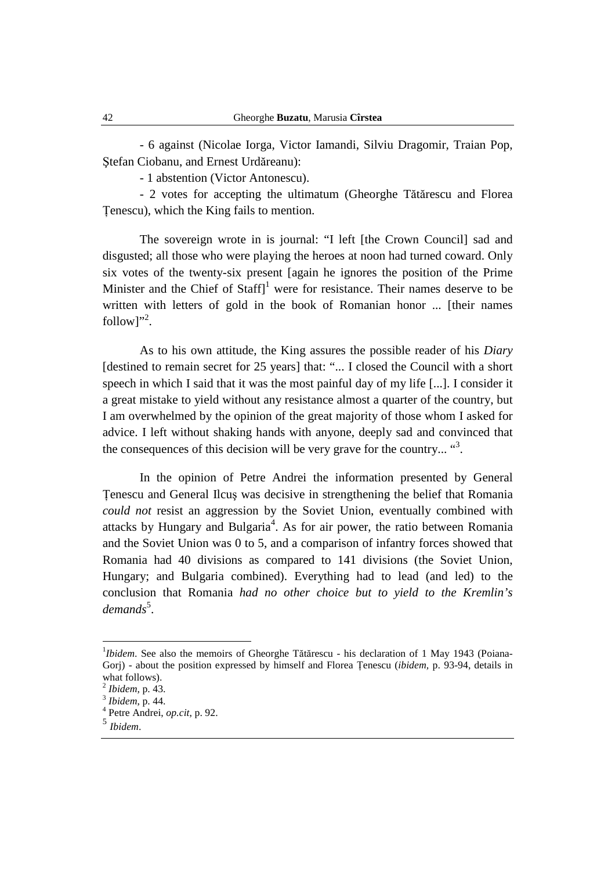- 6 against (Nicolae Iorga, Victor Iamandi, Silviu Dragomir, Traian Pop, Ştefan Ciobanu, and Ernest Urdăreanu):

- 1 abstention (Victor Antonescu).

- 2 votes for accepting the ultimatum (Gheorghe Tătărescu and Florea Ţenescu), which the King fails to mention.

The sovereign wrote in is journal: "I left [the Crown Council] sad and disgusted; all those who were playing the heroes at noon had turned coward. Only six votes of the twenty-six present [again he ignores the position of the Prime Minister and the Chief of Staff]<sup>1</sup> were for resistance. Their names deserve to be written with letters of gold in the book of Romanian honor ... [their names follow]".

As to his own attitude, the King assures the possible reader of his *Diary*  [destined to remain secret for 25 years] that: "... I closed the Council with a short speech in which I said that it was the most painful day of my life [...]. I consider it a great mistake to yield without any resistance almost a quarter of the country, but I am overwhelmed by the opinion of the great majority of those whom I asked for advice. I left without shaking hands with anyone, deeply sad and convinced that the consequences of this decision will be very grave for the country...  $\mathbf{a}^3$ .

In the opinion of Petre Andrei the information presented by General Ţenescu and General Ilcuş was decisive in strengthening the belief that Romania *could not* resist an aggression by the Soviet Union, eventually combined with attacks by Hungary and Bulgaria<sup>4</sup>. As for air power, the ratio between Romania and the Soviet Union was 0 to 5, and a comparison of infantry forces showed that Romania had 40 divisions as compared to 141 divisions (the Soviet Union, Hungary; and Bulgaria combined). Everything had to lead (and led) to the conclusion that Romania *had no other choice but to yield to the Kremlin's*  demands<sup>5</sup>.

<sup>&</sup>lt;sup>1</sup>*Ibidem*. See also the memoirs of Gheorghe Tătărescu - his declaration of 1 May 1943 (Poiana-Gorj) - about the position expressed by himself and Florea Ţenescu (*ibidem,* p. 93-94, details in what follows).

<sup>2</sup> *Ibidem,* p. 43.

<sup>3</sup> *Ibidem*, p. 44.

<sup>4</sup> Petre Andrei, *op.cit*, p. 92.

<sup>5</sup> *Ibidem*.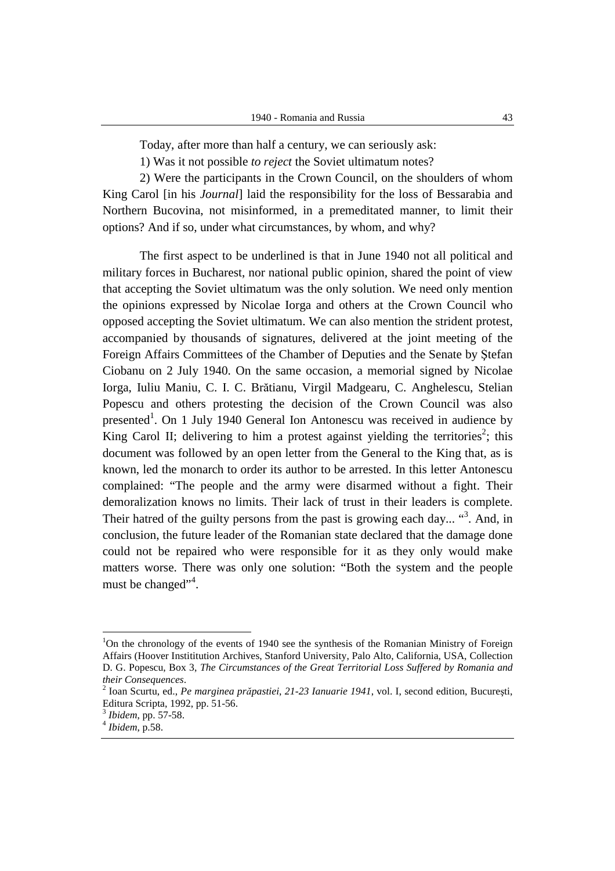Today, after more than half a century, we can seriously ask:

1) Was it not possible *to reject* the Soviet ultimatum notes?

2) Were the participants in the Crown Council, on the shoulders of whom King Carol [in his *Journal*] laid the responsibility for the loss of Bessarabia and Northern Bucovina, not misinformed, in a premeditated manner, to limit their options? And if so, under what circumstances, by whom, and why?

The first aspect to be underlined is that in June 1940 not all political and military forces in Bucharest, nor national public opinion, shared the point of view that accepting the Soviet ultimatum was the only solution. We need only mention the opinions expressed by Nicolae Iorga and others at the Crown Council who opposed accepting the Soviet ultimatum. We can also mention the strident protest, accompanied by thousands of signatures, delivered at the joint meeting of the Foreign Affairs Committees of the Chamber of Deputies and the Senate by Ştefan Ciobanu on 2 July 1940. On the same occasion, a memorial signed by Nicolae Iorga, Iuliu Maniu, C. I. C. Brătianu, Virgil Madgearu, C. Anghelescu, Stelian Popescu and others protesting the decision of the Crown Council was also presented<sup>1</sup>. On 1 July 1940 General Ion Antonescu was received in audience by King Carol II; delivering to him a protest against yielding the territories<sup>2</sup>; this document was followed by an open letter from the General to the King that, as is known, led the monarch to order its author to be arrested. In this letter Antonescu complained: "The people and the army were disarmed without a fight. Their demoralization knows no limits. Their lack of trust in their leaders is complete. Their hatred of the guilty persons from the past is growing each day... "<sup>3</sup>. And, in conclusion, the future leader of the Romanian state declared that the damage done could not be repaired who were responsible for it as they only would make matters worse. There was only one solution: "Both the system and the people must be changed"<sup>4</sup>.

 $1$ On the chronology of the events of 1940 see the synthesis of the Romanian Ministry of Foreign Affairs (Hoover Instititution Archives, Stanford University, Palo Alto, California, USA, Collection D. G. Popescu, Box 3, *The Circumstances of the Great Territorial Loss Suffered by Romania and their Consequences*.

 $\overline{2}$  Ioan Scurtu, ed., *Pe marginea prăpastiei*, *21-23 Ianuarie 1941*, vol. I, second edition, Bucureşti, Editura Scripta, 1992, pp. 51-56.

<sup>3</sup> *Ibidem*, pp. 57-58.

<sup>4</sup> *Ibidem*, p.58.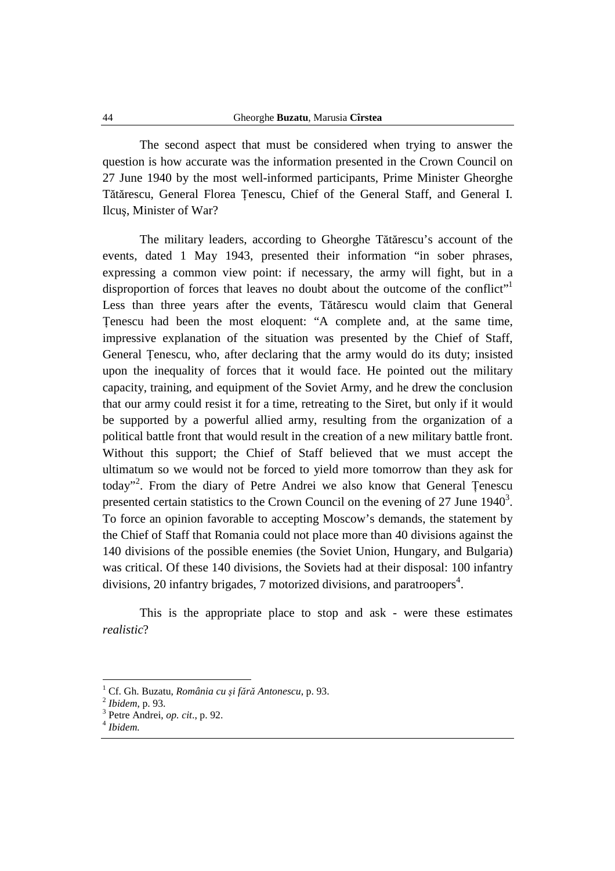The second aspect that must be considered when trying to answer the question is how accurate was the information presented in the Crown Council on 27 June 1940 by the most well-informed participants, Prime Minister Gheorghe Tătărescu, General Florea Ţenescu, Chief of the General Staff, and General I. Ilcuş, Minister of War?

The military leaders, according to Gheorghe Tătărescu's account of the events, dated 1 May 1943, presented their information "in sober phrases, expressing a common view point: if necessary, the army will fight, but in a disproportion of forces that leaves no doubt about the outcome of the conflict" Less than three years after the events, Tătărescu would claim that General Ţenescu had been the most eloquent: "A complete and, at the same time, impressive explanation of the situation was presented by the Chief of Staff, General Ţenescu, who, after declaring that the army would do its duty; insisted upon the inequality of forces that it would face. He pointed out the military capacity, training, and equipment of the Soviet Army, and he drew the conclusion that our army could resist it for a time, retreating to the Siret, but only if it would be supported by a powerful allied army, resulting from the organization of a political battle front that would result in the creation of a new military battle front. Without this support; the Chief of Staff believed that we must accept the ultimatum so we would not be forced to yield more tomorrow than they ask for today"<sup>2</sup>. From the diary of Petre Andrei we also know that General Țenescu presented certain statistics to the Crown Council on the evening of 27 June  $1940<sup>3</sup>$ . To force an opinion favorable to accepting Moscow's demands, the statement by the Chief of Staff that Romania could not place more than 40 divisions against the 140 divisions of the possible enemies (the Soviet Union, Hungary, and Bulgaria) was critical. Of these 140 divisions, the Soviets had at their disposal: 100 infantry divisions, 20 infantry brigades, 7 motorized divisions, and paratroopers<sup>4</sup>.

This is the appropriate place to stop and ask - were these estimates *realistic*?

<sup>1</sup> Cf. Gh. Buzatu, *România cu şi fără Antonescu*, p. 93.

<sup>2</sup> *Ibidem*, p. 93.

<sup>3</sup> Petre Andrei, *op. cit*., p. 92.

<sup>4</sup> *Ibidem.*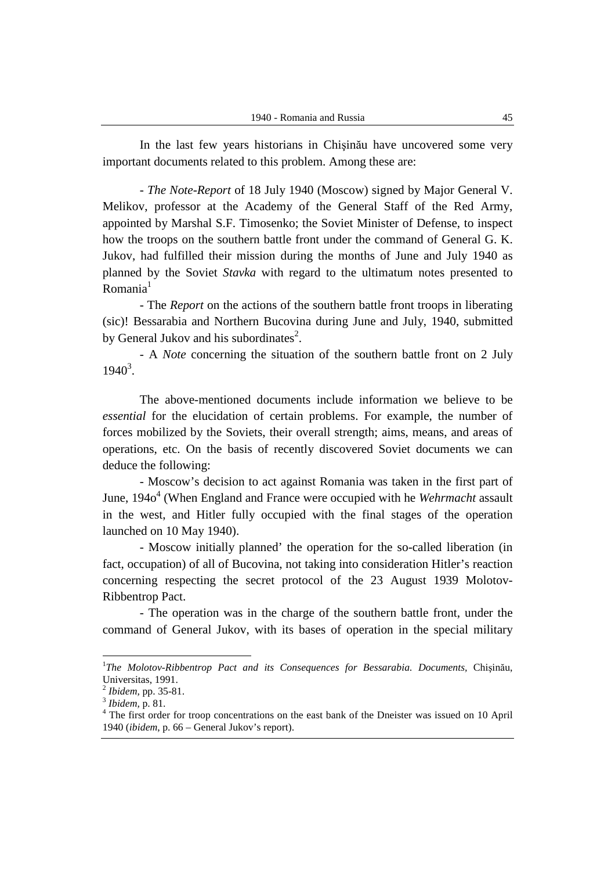In the last few years historians in Chişinău have uncovered some very important documents related to this problem. Among these are:

- *The Note-Report* of 18 July 1940 (Moscow) signed by Major General V. Melikov, professor at the Academy of the General Staff of the Red Army, appointed by Marshal S.F. Timosenko; the Soviet Minister of Defense, to inspect how the troops on the southern battle front under the command of General G. K. Jukov, had fulfilled their mission during the months of June and July 1940 as planned by the Soviet *Stavka* with regard to the ultimatum notes presented to  $Romania<sup>1</sup>$ 

- The *Report* on the actions of the southern battle front troops in liberating (sic)! Bessarabia and Northern Bucovina during June and July, 1940, submitted by General Jukov and his subordinates<sup>2</sup>.

- A *Note* concerning the situation of the southern battle front on 2 July  $1940^3$ .

The above-mentioned documents include information we believe to be *essential* for the elucidation of certain problems. For example, the number of forces mobilized by the Soviets, their overall strength; aims, means, and areas of operations, etc. On the basis of recently discovered Soviet documents we can deduce the following:

- Moscow's decision to act against Romania was taken in the first part of June, 1940<sup>4</sup> (When England and France were occupied with he *Wehrmacht* assault in the west, and Hitler fully occupied with the final stages of the operation launched on 10 May 1940).

- Moscow initially planned' the operation for the so-called liberation (in fact, occupation) of all of Bucovina, not taking into consideration Hitler's reaction concerning respecting the secret protocol of the 23 August 1939 Molotov-Ribbentrop Pact.

- The operation was in the charge of the southern battle front, under the command of General Jukov, with its bases of operation in the special military

<sup>&</sup>lt;sup>1</sup>The Molotov-Ribbentrop Pact and its Consequences for Bessarabia. Documents, Chișinău, Universitas, 1991.

<sup>2</sup> *Ibidem,* pp. 35-81.

<sup>3</sup> *Ibidem,* p. 81.

<sup>&</sup>lt;sup>4</sup> The first order for troop concentrations on the east bank of the Dneister was issued on 10 April 1940 (*ibidem*, p. 66 – General Jukov's report).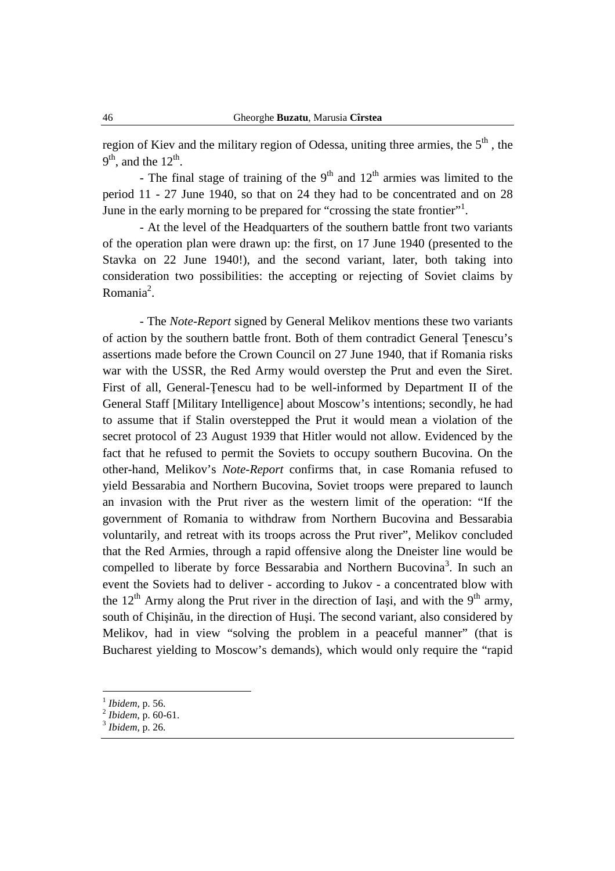region of Kiev and the military region of Odessa, uniting three armies, the  $5<sup>th</sup>$ , the  $9<sup>th</sup>$ , and the  $12<sup>th</sup>$ .

- The final stage of training of the  $9<sup>th</sup>$  and  $12<sup>th</sup>$  armies was limited to the period 11 - 27 June 1940, so that on 24 they had to be concentrated and on 28 June in the early morning to be prepared for "crossing the state frontier".

- At the level of the Headquarters of the southern battle front two variants of the operation plan were drawn up: the first, on 17 June 1940 (presented to the Stavka on 22 June 1940!), and the second variant, later, both taking into consideration two possibilities: the accepting or rejecting of Soviet claims by Romania<sup>2</sup>.

- The *Note-Report* signed by General Melikov mentions these two variants of action by the southern battle front. Both of them contradict General Ţenescu's assertions made before the Crown Council on 27 June 1940, that if Romania risks war with the USSR, the Red Army would overstep the Prut and even the Siret. First of all, General-Ţenescu had to be well-informed by Department II of the General Staff [Military Intelligence] about Moscow's intentions; secondly, he had to assume that if Stalin overstepped the Prut it would mean a violation of the secret protocol of 23 August 1939 that Hitler would not allow. Evidenced by the fact that he refused to permit the Soviets to occupy southern Bucovina. On the other-hand, Melikov's *Note-Report* confirms that, in case Romania refused to yield Bessarabia and Northern Bucovina, Soviet troops were prepared to launch an invasion with the Prut river as the western limit of the operation: "If the government of Romania to withdraw from Northern Bucovina and Bessarabia voluntarily, and retreat with its troops across the Prut river", Melikov concluded that the Red Armies, through a rapid offensive along the Dneister line would be compelled to liberate by force Bessarabia and Northern Bucovina<sup>3</sup>. In such an event the Soviets had to deliver - according to Jukov - a concentrated blow with the  $12<sup>th</sup>$  Army along the Prut river in the direction of Iași, and with the 9<sup>th</sup> army, south of Chişinău, in the direction of Huşi. The second variant, also considered by Melikov, had in view "solving the problem in a peaceful manner" (that is Bucharest yielding to Moscow's demands), which would only require the "rapid

<sup>1</sup> *Ibidem,* p. 56.

<sup>2</sup> *Ibidem*, p. 60-61.

<sup>3</sup> *Ibidem,* p. 26.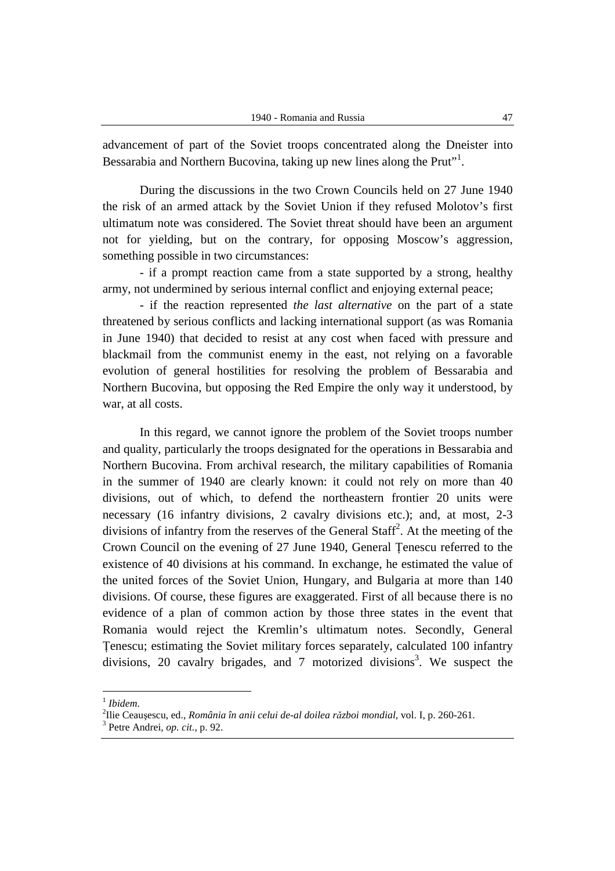advancement of part of the Soviet troops concentrated along the Dneister into Bessarabia and Northern Bucovina, taking up new lines along the Prut"<sup>1</sup>.

During the discussions in the two Crown Councils held on 27 June 1940 the risk of an armed attack by the Soviet Union if they refused Molotov's first ultimatum note was considered. The Soviet threat should have been an argument not for yielding, but on the contrary, for opposing Moscow's aggression, something possible in two circumstances:

- if a prompt reaction came from a state supported by a strong, healthy army, not undermined by serious internal conflict and enjoying external peace;

- if the reaction represented *the last alternative* on the part of a state threatened by serious conflicts and lacking international support (as was Romania in June 1940) that decided to resist at any cost when faced with pressure and blackmail from the communist enemy in the east, not relying on a favorable evolution of general hostilities for resolving the problem of Bessarabia and Northern Bucovina, but opposing the Red Empire the only way it understood, by war, at all costs.

In this regard, we cannot ignore the problem of the Soviet troops number and quality, particularly the troops designated for the operations in Bessarabia and Northern Bucovina. From archival research, the military capabilities of Romania in the summer of 1940 are clearly known: it could not rely on more than 40 divisions, out of which, to defend the northeastern frontier 20 units were necessary (16 infantry divisions, 2 cavalry divisions etc.); and, at most, 2-3 divisions of infantry from the reserves of the General Staff<sup>2</sup>. At the meeting of the Crown Council on the evening of 27 June 1940, General Ţenescu referred to the existence of 40 divisions at his command. In exchange, he estimated the value of the united forces of the Soviet Union, Hungary, and Bulgaria at more than 140 divisions. Of course, these figures are exaggerated. First of all because there is no evidence of a plan of common action by those three states in the event that Romania would reject the Kremlin's ultimatum notes. Secondly, General Ţenescu; estimating the Soviet military forces separately, calculated 100 infantry divisions, 20 cavalry brigades, and 7 motorized divisions<sup>3</sup>. We suspect the

 1 *Ibidem*.

<sup>2</sup> Ilie Ceauşescu, ed., *România în anii celui de-al doilea război mondial,* vol. I, p. 260-261.

<sup>3</sup> Petre Andrei, *op. cit.*, p. 92.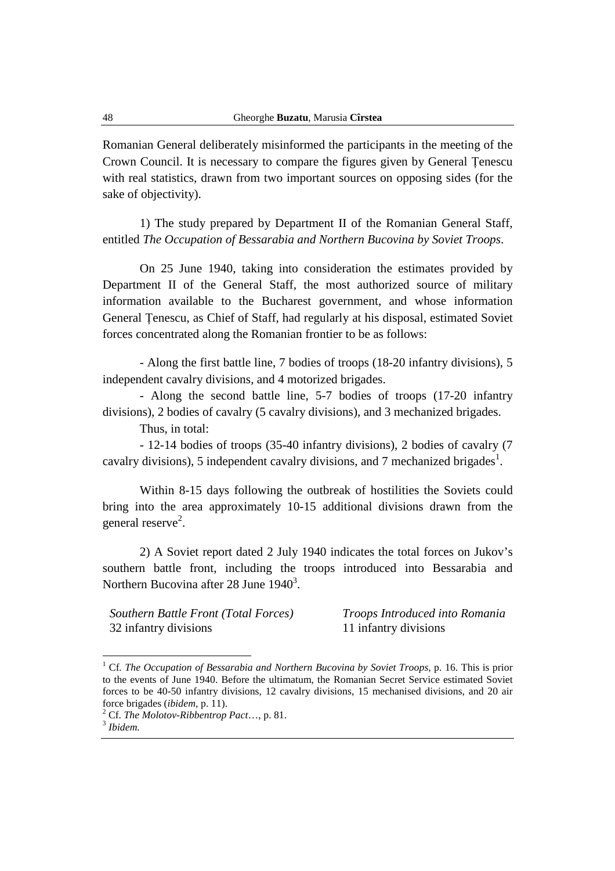Romanian General deliberately misinformed the participants in the meeting of the Crown Council. It is necessary to compare the figures given by General Ţenescu with real statistics, drawn from two important sources on opposing sides (for the sake of objectivity).

1) The study prepared by Department II of the Romanian General Staff, entitled *The Occupation of Bessarabia and Northern Bucovina by Soviet Troops*.

On 25 June 1940, taking into consideration the estimates provided by Department II of the General Staff, the most authorized source of military information available to the Bucharest government, and whose information General Ţenescu, as Chief of Staff, had regularly at his disposal, estimated Soviet forces concentrated along the Romanian frontier to be as follows:

- Along the first battle line, 7 bodies of troops (18-20 infantry divisions), 5 independent cavalry divisions, and 4 motorized brigades.

- Along the second battle line, 5-7 bodies of troops (17-20 infantry divisions), 2 bodies of cavalry (5 cavalry divisions), and 3 mechanized brigades.

Thus, in total:

- 12-14 bodies of troops (35-40 infantry divisions), 2 bodies of cavalry (7 cavalry divisions), 5 independent cavalry divisions, and 7 mechanized brigades<sup>1</sup>.

Within 8-15 days following the outbreak of hostilities the Soviets could bring into the area approximately 10-15 additional divisions drawn from the general reserve<sup>2</sup>.

2) A Soviet report dated 2 July 1940 indicates the total forces on Jukov's southern battle front, including the troops introduced into Bessarabia and Northern Bucovina after 28 June  $1940^3$ .

*Southern Battle Front (Total Forces) Troops Introduced into Romania* 32 infantry divisions 11 infantry divisions

<sup>&</sup>lt;sup>1</sup> Cf. The Occupation of Bessarabia and Northern Bucovina by Soviet Troops, p. 16. This is prior to the events of June 1940. Before the ultimatum, the Romanian Secret Service estimated Soviet forces to be 40-50 infantry divisions, 12 cavalry divisions, 15 mechanised divisions, and 20 air force brigades (*ibidem,* p. 11).

<sup>2</sup> Cf. *The Molotov-Ribbentrop Pact*…, p. 81.

<sup>3</sup> *Ibidem.*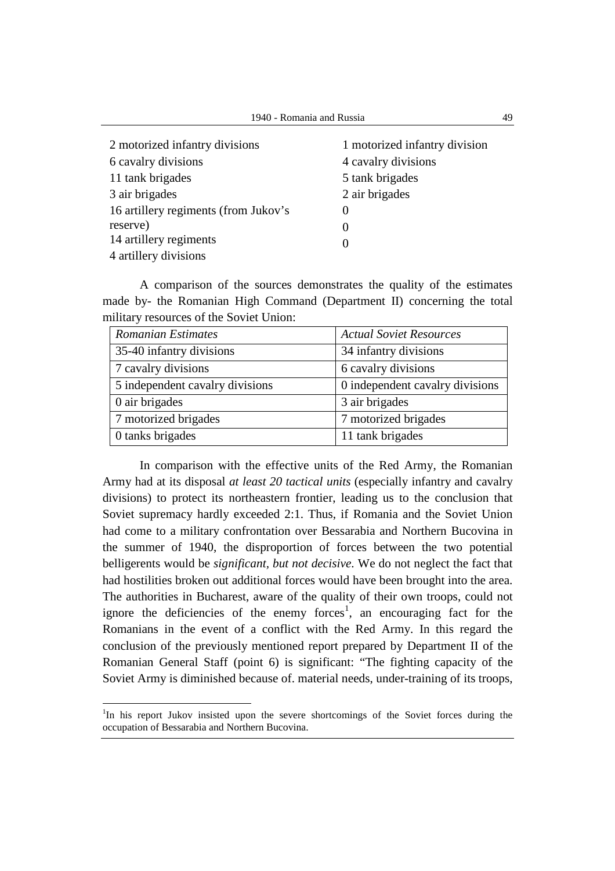| 2 motorized infantry divisions       | 1 motorized infantry division |
|--------------------------------------|-------------------------------|
| 6 cavalry divisions                  | 4 cavalry divisions           |
| 11 tank brigades                     | 5 tank brigades               |
| 3 air brigades                       | 2 air brigades                |
| 16 artillery regiments (from Jukov's | $\theta$                      |
| reserve)                             | $\Omega$                      |
| 14 artillery regiments               | $\Omega$                      |
| 4 artillery divisions                |                               |

A comparison of the sources demonstrates the quality of the estimates made by- the Romanian High Command (Department II) concerning the total military resources of the Soviet Union:

| <b>Romanian Estimates</b>       | <b>Actual Soviet Resources</b>  |
|---------------------------------|---------------------------------|
| 35-40 infantry divisions        | 34 infantry divisions           |
| 7 cavalry divisions             | 6 cavalry divisions             |
| 5 independent cavalry divisions | 0 independent cavalry divisions |
| 0 air brigades                  | 3 air brigades                  |
| 7 motorized brigades            | 7 motorized brigades            |
| 0 tanks brigades                | 11 tank brigades                |

In comparison with the effective units of the Red Army, the Romanian Army had at its disposal *at least 20 tactical units* (especially infantry and cavalry divisions) to protect its northeastern frontier, leading us to the conclusion that Soviet supremacy hardly exceeded 2:1. Thus, if Romania and the Soviet Union had come to a military confrontation over Bessarabia and Northern Bucovina in the summer of 1940, the disproportion of forces between the two potential belligerents would be *significant, but not decisive*. We do not neglect the fact that had hostilities broken out additional forces would have been brought into the area. The authorities in Bucharest, aware of the quality of their own troops, could not ignore the deficiencies of the enemy forces<sup>1</sup>, an encouraging fact for the Romanians in the event of a conflict with the Red Army. In this regard the conclusion of the previously mentioned report prepared by Department II of the Romanian General Staff (point 6) is significant: "The fighting capacity of the Soviet Army is diminished because of. material needs, under-training of its troops,

<sup>&</sup>lt;sup>1</sup>In his report Jukov insisted upon the severe shortcomings of the Soviet forces during the occupation of Bessarabia and Northern Bucovina.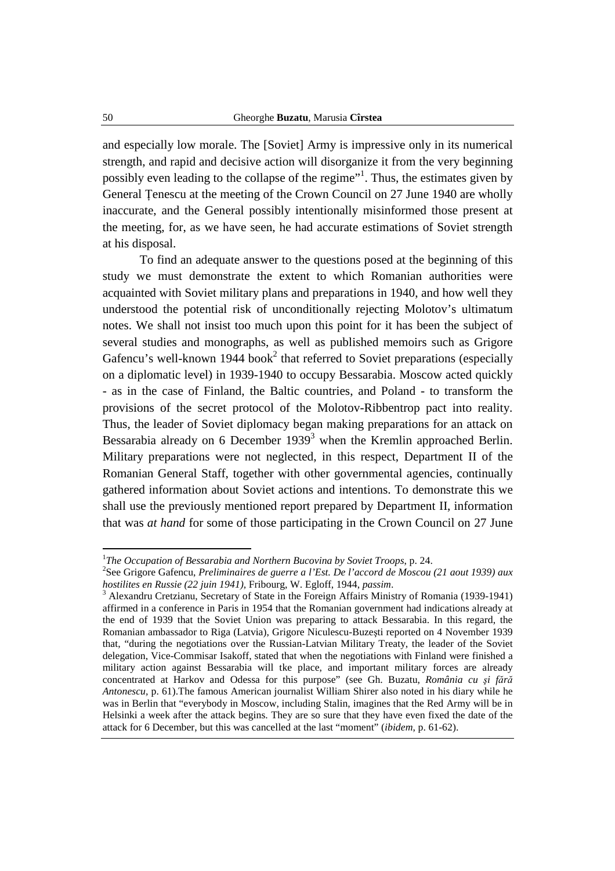and especially low morale. The [Soviet] Army is impressive only in its numerical strength, and rapid and decisive action will disorganize it from the very beginning possibly even leading to the collapse of the regime"<sup>1</sup>. Thus, the estimates given by General Tenescu at the meeting of the Crown Council on 27 June 1940 are wholly inaccurate, and the General possibly intentionally misinformed those present at the meeting, for, as we have seen, he had accurate estimations of Soviet strength at his disposal.

To find an adequate answer to the questions posed at the beginning of this study we must demonstrate the extent to which Romanian authorities were acquainted with Soviet military plans and preparations in 1940, and how well they understood the potential risk of unconditionally rejecting Molotov's ultimatum notes. We shall not insist too much upon this point for it has been the subject of several studies and monographs, as well as published memoirs such as Grigore Gafencu's well-known 1944 book<sup>2</sup> that referred to Soviet preparations (especially on a diplomatic level) in 1939-1940 to occupy Bessarabia. Moscow acted quickly - as in the case of Finland, the Baltic countries, and Poland - to transform the provisions of the secret protocol of the Molotov-Ribbentrop pact into reality. Thus, the leader of Soviet diplomacy began making preparations for an attack on Bessarabia already on 6 December 1939 $3$  when the Kremlin approached Berlin. Military preparations were not neglected, in this respect, Department II of the Romanian General Staff, together with other governmental agencies, continually gathered information about Soviet actions and intentions. To demonstrate this we shall use the previously mentioned report prepared by Department II, information that was *at hand* for some of those participating in the Crown Council on 27 June

<sup>&</sup>lt;sup>1</sup>The Occupation of Bessarabia and Northern Bucovina by Soviet Troops, p. 24.

<sup>2</sup> See Grigore Gafencu, *Preliminaires de guerre a l'Est. De l'accord de Moscou (21 aout 1939) aux hostilites en Russie (22 juin 1941),* Fribourg, W. Egloff, 1944, *passim*.

<sup>&</sup>lt;sup>3</sup> Alexandru Cretzianu, Secretary of State in the Foreign Affairs Ministry of Romania (1939-1941) affirmed in a conference in Paris in 1954 that the Romanian government had indications already at the end of 1939 that the Soviet Union was preparing to attack Bessarabia. In this regard, the Romanian ambassador to Riga (Latvia), Grigore Niculescu-Buzeşti reported on 4 November 1939 that, "during the negotiations over the Russian-Latvian Military Treaty, the leader of the Soviet delegation, Vice-Commisar Isakoff, stated that when the negotiations with Finland were finished a military action against Bessarabia will tke place, and important military forces are already concentrated at Harkov and Odessa for this purpose" (see Gh. Buzatu, *România cu şi fără Antonescu,* p. 61).The famous American journalist William Shirer also noted in his diary while he was in Berlin that "everybody in Moscow, including Stalin, imagines that the Red Army will be in Helsinki a week after the attack begins. They are so sure that they have even fixed the date of the attack for 6 December, but this was cancelled at the last "moment" (*ibidem*, p. 61-62).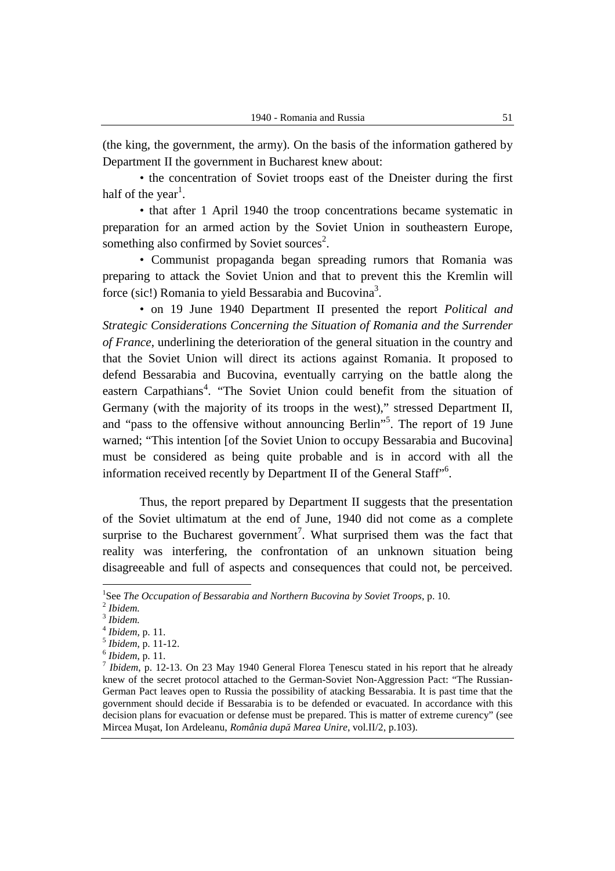(the king, the government, the army). On the basis of the information gathered by Department II the government in Bucharest knew about:

• the concentration of Soviet troops east of the Dneister during the first half of the year<sup>1</sup>.

• that after 1 April 1940 the troop concentrations became systematic in preparation for an armed action by the Soviet Union in southeastern Europe, something also confirmed by Soviet sources<sup>2</sup>.

• Communist propaganda began spreading rumors that Romania was preparing to attack the Soviet Union and that to prevent this the Kremlin will force (sic!) Romania to yield Bessarabia and Bucovina<sup>3</sup>.

• on 19 June 1940 Department II presented the report *Political and Strategic Considerations Concerning the Situation of Romania and the Surrender of France*, underlining the deterioration of the general situation in the country and that the Soviet Union will direct its actions against Romania. It proposed to defend Bessarabia and Bucovina, eventually carrying on the battle along the eastern Carpathians<sup>4</sup>. "The Soviet Union could benefit from the situation of Germany (with the majority of its troops in the west)," stressed Department II, and "pass to the offensive without announcing Berlin"<sup>5</sup>. The report of 19 June warned; "This intention [of the Soviet Union to occupy Bessarabia and Bucovina] must be considered as being quite probable and is in accord with all the information received recently by Department II of the General Staff"<sup>6</sup>.

Thus, the report prepared by Department II suggests that the presentation of the Soviet ultimatum at the end of June, 1940 did not come as a complete surprise to the Bucharest government<sup>7</sup>. What surprised them was the fact that reality was interfering, the confrontation of an unknown situation being disagreeable and full of aspects and consequences that could not, be perceived.

<sup>&</sup>lt;sup>1</sup>See *The Occupation of Bessarabia and Northern Bucovina by Soviet Troops*, p. 10.

<sup>2</sup> *Ibidem.* 3 *Ibidem.*

<sup>4</sup> *Ibidem,* p. 11.

<sup>5</sup> *Ibidem*, p. 11-12.

<sup>6</sup> *Ibidem*, p. 11.

<sup>7</sup> *Ibidem*, p. 12-13. On 23 May 1940 General Florea Ţenescu stated in his report that he already knew of the secret protocol attached to the German-Soviet Non-Aggression Pact: "The Russian-German Pact leaves open to Russia the possibility of atacking Bessarabia. It is past time that the government should decide if Bessarabia is to be defended or evacuated. In accordance with this decision plans for evacuation or defense must be prepared. This is matter of extreme curency" (see Mircea Muşat, Ion Ardeleanu, *România după Marea Unire*, vol.II/2, p.103).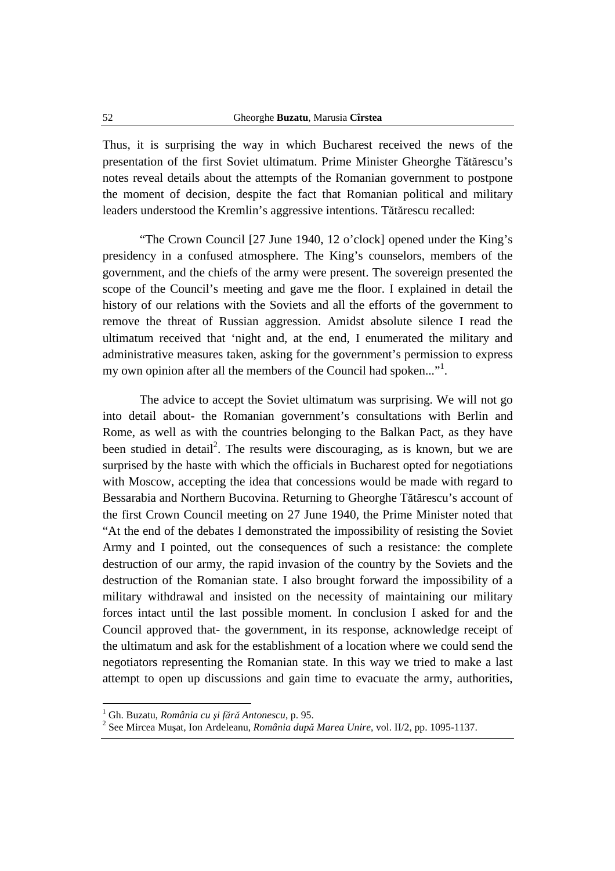Thus, it is surprising the way in which Bucharest received the news of the presentation of the first Soviet ultimatum. Prime Minister Gheorghe Tătărescu's notes reveal details about the attempts of the Romanian government to postpone the moment of decision, despite the fact that Romanian political and military leaders understood the Kremlin's aggressive intentions. Tătărescu recalled:

"The Crown Council [27 June 1940, 12 o'clock] opened under the King's presidency in a confused atmosphere. The King's counselors, members of the government, and the chiefs of the army were present. The sovereign presented the scope of the Council's meeting and gave me the floor. I explained in detail the history of our relations with the Soviets and all the efforts of the government to remove the threat of Russian aggression. Amidst absolute silence I read the ultimatum received that 'night and, at the end, I enumerated the military and administrative measures taken, asking for the government's permission to express my own opinion after all the members of the Council had spoken..." $\cdot$ <sup>1</sup>.

The advice to accept the Soviet ultimatum was surprising. We will not go into detail about- the Romanian government's consultations with Berlin and Rome, as well as with the countries belonging to the Balkan Pact, as they have been studied in detail<sup>2</sup>. The results were discouraging, as is known, but we are surprised by the haste with which the officials in Bucharest opted for negotiations with Moscow, accepting the idea that concessions would be made with regard to Bessarabia and Northern Bucovina. Returning to Gheorghe Tătărescu's account of the first Crown Council meeting on 27 June 1940, the Prime Minister noted that "At the end of the debates I demonstrated the impossibility of resisting the Soviet Army and I pointed, out the consequences of such a resistance: the complete destruction of our army, the rapid invasion of the country by the Soviets and the destruction of the Romanian state. I also brought forward the impossibility of a military withdrawal and insisted on the necessity of maintaining our military forces intact until the last possible moment. In conclusion I asked for and the Council approved that- the government, in its response, acknowledge receipt of the ultimatum and ask for the establishment of a location where we could send the negotiators representing the Romanian state. In this way we tried to make a last attempt to open up discussions and gain time to evacuate the army, authorities,

<sup>1</sup> Gh. Buzatu, *România cu şi fără Antonescu*, p. 95.

<sup>2</sup> See Mircea Muşat, Ion Ardeleanu, *România după Marea Unire*, vol. II/2, pp. 1095-1137.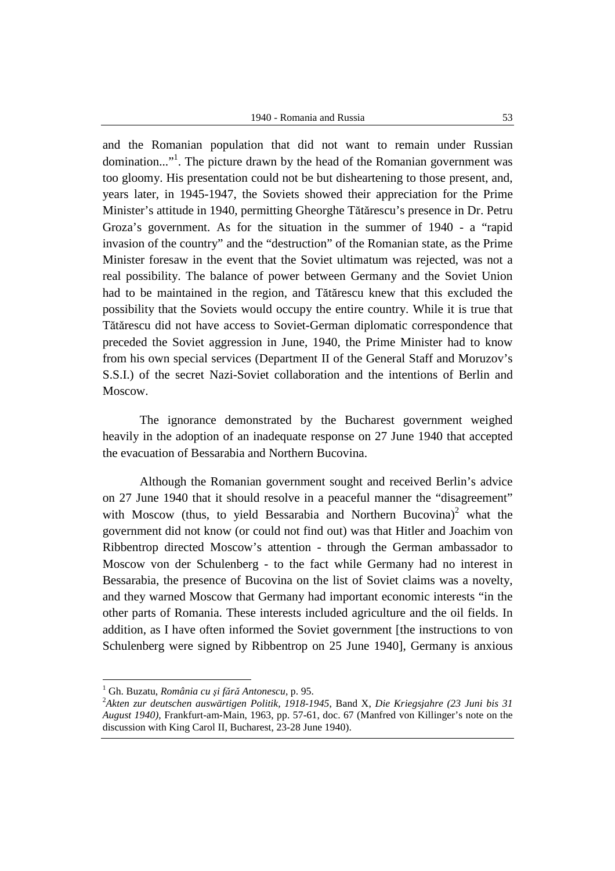1940 - Romania and Russia 53

and the Romanian population that did not want to remain under Russian domination..."<sup>1</sup>. The picture drawn by the head of the Romanian government was too gloomy. His presentation could not be but disheartening to those present, and, years later, in 1945-1947, the Soviets showed their appreciation for the Prime Minister's attitude in 1940, permitting Gheorghe Tătărescu's presence in Dr. Petru Groza's government. As for the situation in the summer of 1940 - a "rapid invasion of the country" and the "destruction" of the Romanian state, as the Prime Minister foresaw in the event that the Soviet ultimatum was rejected, was not a real possibility. The balance of power between Germany and the Soviet Union had to be maintained in the region, and Tătărescu knew that this excluded the possibility that the Soviets would occupy the entire country. While it is true that Tătărescu did not have access to Soviet-German diplomatic correspondence that preceded the Soviet aggression in June, 1940, the Prime Minister had to know from his own special services (Department II of the General Staff and Moruzov's S.S.I.) of the secret Nazi-Soviet collaboration and the intentions of Berlin and Moscow.

The ignorance demonstrated by the Bucharest government weighed heavily in the adoption of an inadequate response on 27 June 1940 that accepted the evacuation of Bessarabia and Northern Bucovina.

Although the Romanian government sought and received Berlin's advice on 27 June 1940 that it should resolve in a peaceful manner the "disagreement" with Moscow (thus, to yield Bessarabia and Northern Bucovina)<sup>2</sup> what the government did not know (or could not find out) was that Hitler and Joachim von Ribbentrop directed Moscow's attention - through the German ambassador to Moscow von der Schulenberg - to the fact while Germany had no interest in Bessarabia, the presence of Bucovina on the list of Soviet claims was a novelty, and they warned Moscow that Germany had important economic interests "in the other parts of Romania. These interests included agriculture and the oil fields. In addition, as I have often informed the Soviet government [the instructions to von Schulenberg were signed by Ribbentrop on 25 June 1940], Germany is anxious

<sup>1</sup> Gh. Buzatu, *România cu şi fără Antonescu,* p. 95.

<sup>2</sup>*Akten zur deutschen auswärtigen Politik, 1918-1945*, Band X, *Die Kriegsjahre (23 Juni bis 31 August 1940)*, Frankfurt-am-Main, 1963, pp. 57-61, doc. 67 (Manfred von Killinger's note on the discussion with King Carol II, Bucharest, 23-28 June 1940).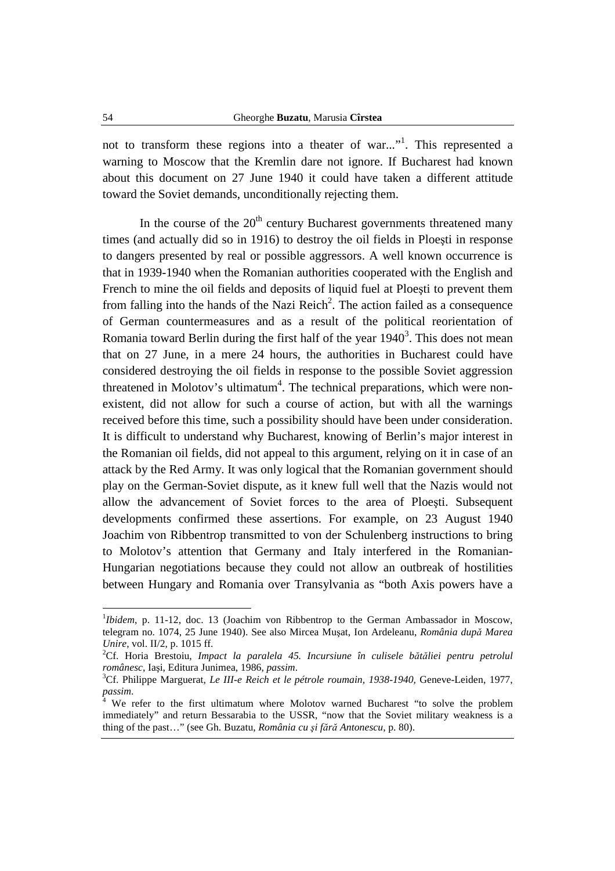not to transform these regions into a theater of war..."<sup>1</sup>. This represented a warning to Moscow that the Kremlin dare not ignore. If Bucharest had known about this document on 27 June 1940 it could have taken a different attitude toward the Soviet demands, unconditionally rejecting them.

In the course of the  $20<sup>th</sup>$  century Bucharest governments threatened many times (and actually did so in 1916) to destroy the oil fields in Ploeşti in response to dangers presented by real or possible aggressors. A well known occurrence is that in 1939-1940 when the Romanian authorities cooperated with the English and French to mine the oil fields and deposits of liquid fuel at Ploeşti to prevent them from falling into the hands of the Nazi Reich<sup>2</sup>. The action failed as a consequence of German countermeasures and as a result of the political reorientation of Romania toward Berlin during the first half of the year  $1940<sup>3</sup>$ . This does not mean that on 27 June, in a mere 24 hours, the authorities in Bucharest could have considered destroying the oil fields in response to the possible Soviet aggression threatened in Molotov's ultimatum<sup>4</sup>. The technical preparations, which were nonexistent, did not allow for such a course of action, but with all the warnings received before this time, such a possibility should have been under consideration. It is difficult to understand why Bucharest, knowing of Berlin's major interest in the Romanian oil fields, did not appeal to this argument, relying on it in case of an attack by the Red Army. It was only logical that the Romanian government should play on the German-Soviet dispute, as it knew full well that the Nazis would not allow the advancement of Soviet forces to the area of Ploeşti. Subsequent developments confirmed these assertions. For example, on 23 August 1940 Joachim von Ribbentrop transmitted to von der Schulenberg instructions to bring to Molotov's attention that Germany and Italy interfered in the Romanian-Hungarian negotiations because they could not allow an outbreak of hostilities between Hungary and Romania over Transylvania as "both Axis powers have a

<sup>&</sup>lt;sup>1</sup>*Ibidem*, p. 11-12, doc. 13 (Joachim von Ribbentrop to the German Ambassador in Moscow, telegram no. 1074, 25 June 1940). See also Mircea Muşat, Ion Ardeleanu, *România după Marea Unire*, vol. II/2, p. 1015 ff.

<sup>2</sup>Cf. Horia Brestoiu, *Impact la paralela 45. Incursiune în culisele bătăliei pentru petrolul românesc*, Iaşi, Editura Junimea, 1986, *passim*.

<sup>3</sup>Cf. Philippe Marguerat, *Le III-e Reich et le pétrole roumain, 1938-1940,* Geneve-Leiden, 1977, *passim*. 4

We refer to the first ultimatum where Molotov warned Bucharest "to solve the problem immediately" and return Bessarabia to the USSR, "now that the Soviet military weakness is a thing of the past…" (see Gh. Buzatu, *România cu şi fără Antonescu*, p. 80).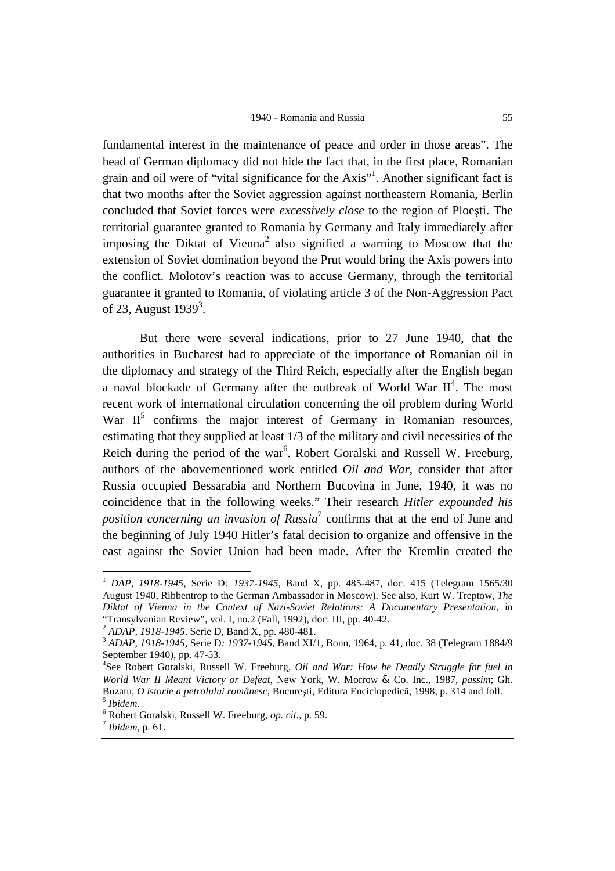1940 - Romania and Russia 55

fundamental interest in the maintenance of peace and order in those areas". The head of German diplomacy did not hide the fact that, in the first place, Romanian grain and oil were of "vital significance for the Axis"<sup>1</sup>. Another significant fact is that two months after the Soviet aggression against northeastern Romania, Berlin concluded that Soviet forces were *excessively close* to the region of Ploeşti. The territorial guarantee granted to Romania by Germany and Italy immediately after imposing the Diktat of Vienna<sup>2</sup> also signified a warning to Moscow that the extension of Soviet domination beyond the Prut would bring the Axis powers into the conflict. Molotov's reaction was to accuse Germany, through the territorial guarantee it granted to Romania, of violating article 3 of the Non-Aggression Pact of 23, August  $1939<sup>3</sup>$ .

But there were several indications, prior to 27 June 1940, that the authorities in Bucharest had to appreciate of the importance of Romanian oil in the diplomacy and strategy of the Third Reich, especially after the English began a naval blockade of Germany after the outbreak of World War  $II<sup>4</sup>$ . The most recent work of international circulation concerning the oil problem during World War  $II<sup>5</sup>$  confirms the major interest of Germany in Romanian resources, estimating that they supplied at least 1/3 of the military and civil necessities of the Reich during the period of the war<sup>6</sup>. Robert Goralski and Russell W. Freeburg, authors of the abovementioned work entitled *Oil and War*, consider that after Russia occupied Bessarabia and Northern Bucovina in June, 1940, it was no coincidence that in the following weeks." Their research *Hitler expounded his*  position concerning an invasion of Russia<sup>7</sup> confirms that at the end of June and the beginning of July 1940 Hitler's fatal decision to organize and offensive in the east against the Soviet Union had been made. After the Kremlin created the

<sup>1</sup> *DAP, 1918-1945,* Serie D*: 1937-1945*, Band X, pp. 485-487, doc. 415 (Telegram 1565/30 August 1940, Ribbentrop to the German Ambassador in Moscow). See also, Kurt W. Treptow, *The Diktat of Vienna in the Context of Nazi-Soviet Relations: A Documentary Presentation*, in "Transylvanian Review", vol. I, no.2 (Fall, 1992), doc. III, pp. 40-42.

<sup>2</sup> *ADAP, 1918-1945,* Serie D, Band X, pp. 480-481.

<sup>3</sup> *ADAP, 1918-1945,* Serie D*: 1937-1945*, Band XI/1, Bonn, 1964, p. 41, doc. 38 (Telegram 1884/9 September 1940), pp. 47-53.

<sup>4</sup> See Robert Goralski, Russell W. Freeburg, *Oil and War: How he Deadly Struggle for fuel in World War II Meant Victory or Defeat*, New York, W. Morrow & Co. Inc., 1987, *passim*; Gh. Buzatu, *O istorie a petrolului românesc,* Bucureşti, Editura Enciclopedică, 1998, p. 314 and foll. 5 *Ibidem.*

<sup>6</sup> Robert Goralski, Russell W. Freeburg, *op. cit*., p. 59.

<sup>7</sup> *Ibidem*, p. 61.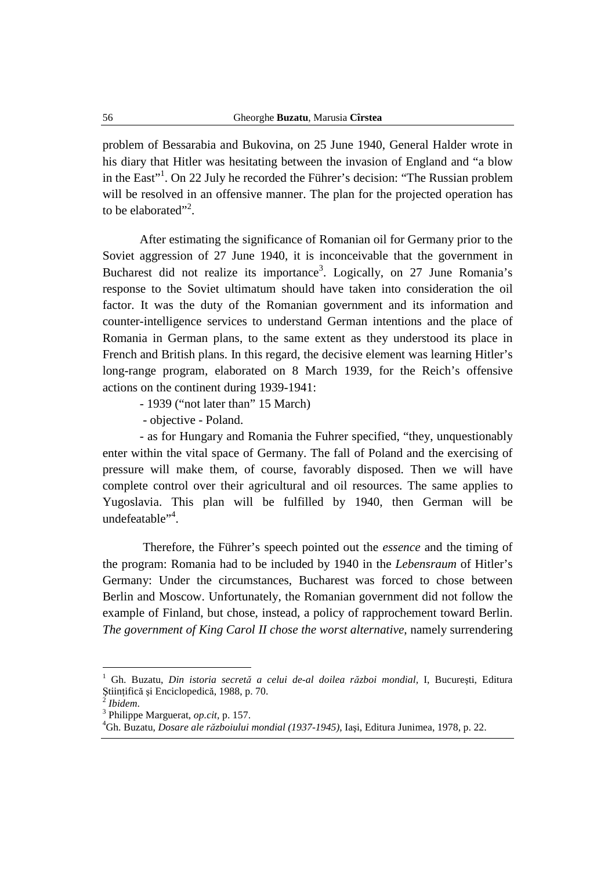problem of Bessarabia and Bukovina, on 25 June 1940, General Halder wrote in his diary that Hitler was hesitating between the invasion of England and "a blow in the East"<sup>1</sup>. On 22 July he recorded the Führer's decision: "The Russian problem will be resolved in an offensive manner. The plan for the projected operation has to be elaborated"<sup>2</sup>.

After estimating the significance of Romanian oil for Germany prior to the Soviet aggression of 27 June 1940, it is inconceivable that the government in Bucharest did not realize its importance<sup>3</sup>. Logically, on 27 June Romania's response to the Soviet ultimatum should have taken into consideration the oil factor. It was the duty of the Romanian government and its information and counter-intelligence services to understand German intentions and the place of Romania in German plans, to the same extent as they understood its place in French and British plans. In this regard, the decisive element was learning Hitler's long-range program, elaborated on 8 March 1939, for the Reich's offensive actions on the continent during 1939-1941:

- 1939 ("not later than" 15 March)

- objective - Poland.

- as for Hungary and Romania the Fuhrer specified, "they, unquestionably enter within the vital space of Germany. The fall of Poland and the exercising of pressure will make them, of course, favorably disposed. Then we will have complete control over their agricultural and oil resources. The same applies to Yugoslavia. This plan will be fulfilled by 1940, then German will be undefeatable"<sup>4</sup>.

 Therefore, the Führer's speech pointed out the *essence* and the timing of the program: Romania had to be included by 1940 in the *Lebensraum* of Hitler's Germany: Under the circumstances, Bucharest was forced to chose between Berlin and Moscow. Unfortunately, the Romanian government did not follow the example of Finland, but chose, instead, a policy of rapprochement toward Berlin. *The government of King Carol II chose the worst alternative*, namely surrendering

<sup>1</sup> Gh. Buzatu, *Din istoria secretă a celui de-al doilea război mondial,* I, Bucureşti, Editura Ştiinţifică şi Enciclopedică, 1988, p. 70. 2

*Ibidem*.

<sup>3</sup> Philippe Marguerat, *op.cit,* p. 157.

<sup>4</sup>Gh. Buzatu, *Dosare ale războiului mondial (1937-1945)*, Iaşi, Editura Junimea, 1978, p. 22.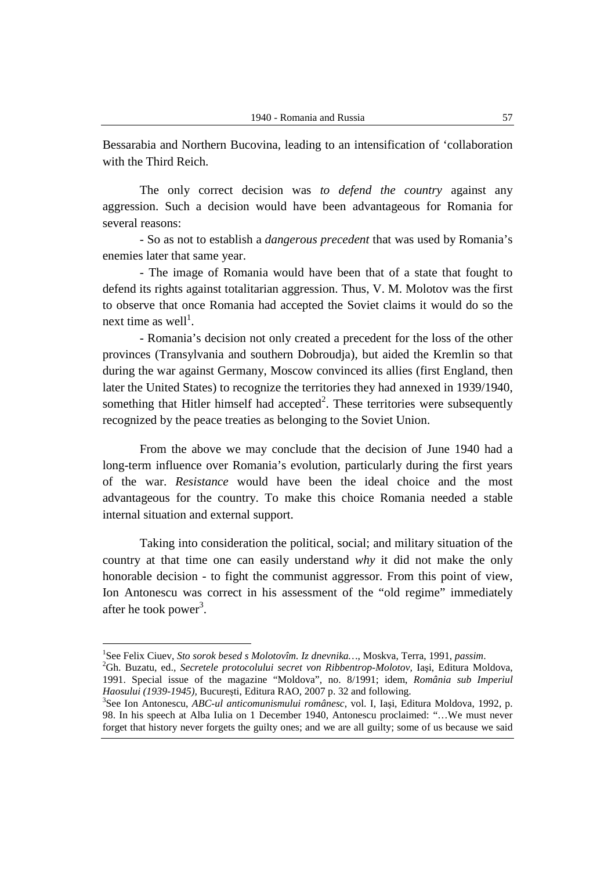Bessarabia and Northern Bucovina, leading to an intensification of 'collaboration with the Third Reich.

The only correct decision was *to defend the country* against any aggression. Such a decision would have been advantageous for Romania for several reasons:

- So as not to establish a *dangerous precedent* that was used by Romania's enemies later that same year.

- The image of Romania would have been that of a state that fought to defend its rights against totalitarian aggression. Thus, V. M. Molotov was the first to observe that once Romania had accepted the Soviet claims it would do so the next time as well<sup>1</sup>.

- Romania's decision not only created a precedent for the loss of the other provinces (Transylvania and southern Dobroudja), but aided the Kremlin so that during the war against Germany, Moscow convinced its allies (first England, then later the United States) to recognize the territories they had annexed in 1939/1940, something that Hitler himself had accepted $2$ . These territories were subsequently recognized by the peace treaties as belonging to the Soviet Union.

From the above we may conclude that the decision of June 1940 had a long-term influence over Romania's evolution, particularly during the first years of the war. *Resistance* would have been the ideal choice and the most advantageous for the country. To make this choice Romania needed a stable internal situation and external support.

Taking into consideration the political, social; and military situation of the country at that time one can easily understand *why* it did not make the only honorable decision - to fight the communist aggressor. From this point of view, Ion Antonescu was correct in his assessment of the "old regime" immediately after he took power<sup>3</sup>.

<sup>1</sup> See Felix Ciuev, *Sto sorok besed s Molotovîm. Iz dnevnika…*, Moskva, Terra, 1991, *passim*.

<sup>2</sup>Gh. Buzatu, ed., *Secretele protocolului secret von Ribbentrop-Molotov,* Iaşi, Editura Moldova, 1991. Special issue of the magazine "Moldova", no. 8/1991; idem, *România sub Imperiul Haosului (1939-1945),* Bucureşti, Editura RAO, 2007 p. 32 and following.

<sup>3</sup> See Ion Antonescu, *ABC-ul anticomunismului românesc*, vol. I, Iaşi, Editura Moldova, 1992, p. 98. In his speech at Alba Iulia on 1 December 1940, Antonescu proclaimed: "…We must never forget that history never forgets the guilty ones; and we are all guilty; some of us because we said